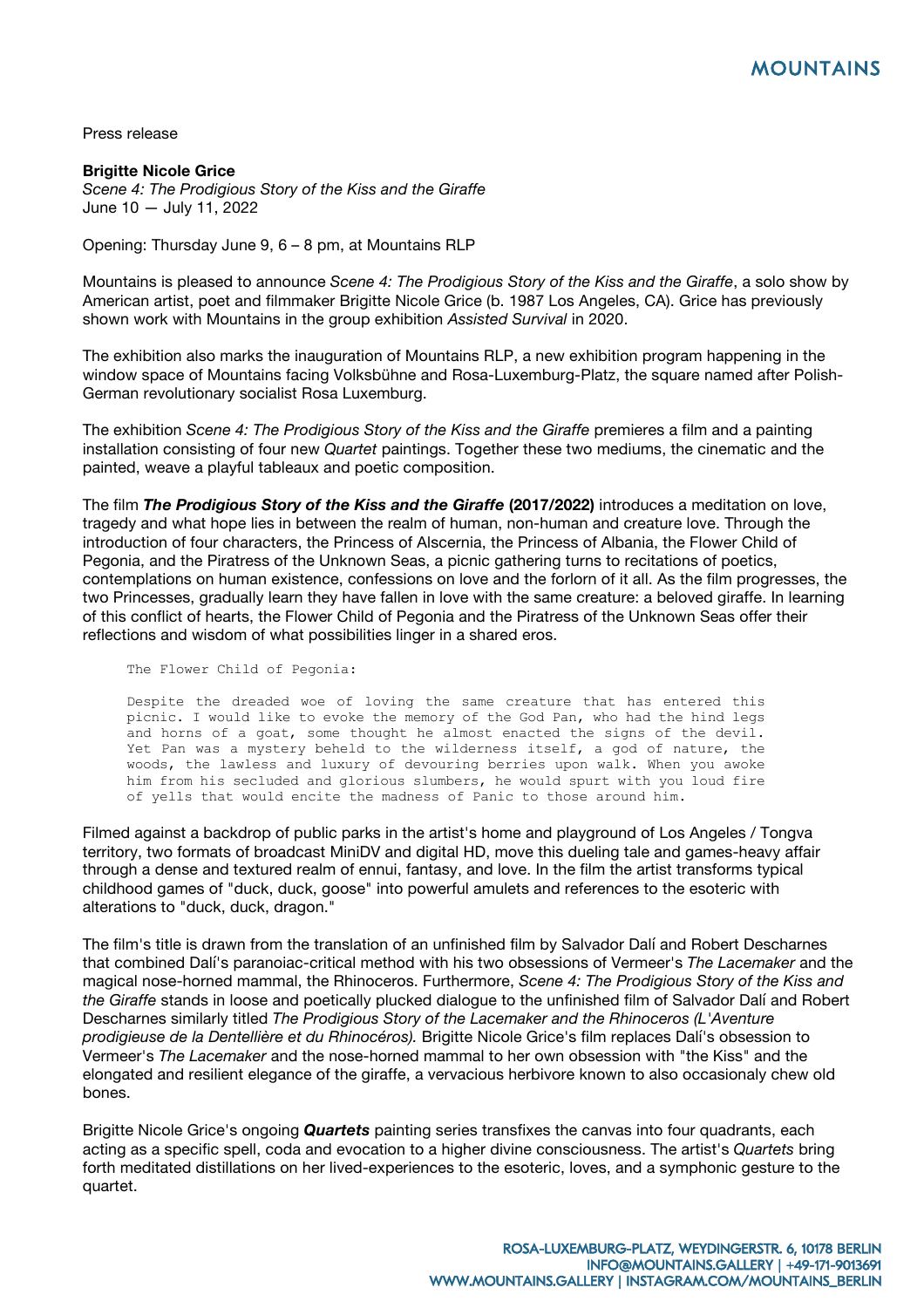Press release

**Brigitte Nicole Grice** *Scene 4: The Prodigious Story of the Kiss and the Giraffe* June 10 — July 11, 2022

Opening: Thursday June 9, 6 – 8 pm, at Mountains RLP

Mountains is pleased to announce *Scene 4: The Prodigious Story of the Kiss and the Giraffe*, a solo show by American artist, poet and filmmaker Brigitte Nicole Grice (b. 1987 Los Angeles, CA). Grice has previously shown work with Mountains in the group exhibition *Assisted Survival* in 2020.

The exhibition also marks the inauguration of Mountains RLP, a new exhibition program happening in the window space of Mountains facing Volksbühne and Rosa-Luxemburg-Platz, the square named after Polish-German revolutionary socialist Rosa Luxemburg.

The exhibition *Scene 4: The Prodigious Story of the Kiss and the Giraffe premieres a film and a painting* installation consisting of four new *Quartet* paintings. Together these two mediums, the cinematic and the painted, weave a playful tableaux and poetic composition.

The film *The Prodigious Story of the Kiss and the Giraffe* **(2017/2022)** introduces a meditation on love, tragedy and what hope lies in between the realm of human, non-human and creature love. Through the introduction of four characters, the Princess of Alscernia, the Princess of Albania, the Flower Child of Pegonia, and the Piratress of the Unknown Seas, a picnic gathering turns to recitations of poetics, contemplations on human existence, confessions on love and the forlorn of it all. As the film progresses, the two Princesses, gradually learn they have fallen in love with the same creature: a beloved giraffe. In learning of this conflict of hearts, the Flower Child of Pegonia and the Piratress of the Unknown Seas offer their reflections and wisdom of what possibilities linger in a shared eros.

The Flower Child of Pegonia:

Despite the dreaded woe of loving the same creature that has entered this picnic. I would like to evoke the memory of the God Pan, who had the hind legs and horns of a goat, some thought he almost enacted the signs of the devil. Yet Pan was a mystery beheld to the wilderness itself, a god of nature, the woods, the lawless and luxury of devouring berries upon walk. When you awoke him from his secluded and glorious slumbers, he would spurt with you loud fire of yells that would encite the madness of Panic to those around him.

Filmed against a backdrop of public parks in the artist's home and playground of Los Angeles / Tongva territory, two formats of broadcast MiniDV and digital HD, move this dueling tale and games-heavy affair through a dense and textured realm of ennui, fantasy, and love. In the film the artist transforms typical childhood games of "duck, duck, goose" into powerful amulets and references to the esoteric with alterations to "duck, duck, dragon."

The film's title is drawn from the translation of an unfinished film by Salvador Dalí and Robert Descharnes that combined Dalí's paranoiac-critical method with his two obsessions of Vermeer's *The Lacemaker* and the magical nose-horned mammal, the Rhinoceros. Furthermore, *Scene 4: The Prodigious Story of the Kiss and the Giraffe* stands in loose and poetically plucked dialogue to the unfinished film of Salvador Dalí and Robert Descharnes similarly titled *The Prodigious Story of the Lacemaker and the Rhinoceros (L'Aventure prodigieuse de la Dentellière et du Rhinocéros).* Brigitte Nicole Grice's film replaces Dalí's obsession to Vermeer's *The Lacemaker* and the nose-horned mammal to her own obsession with "the Kiss" and the elongated and resilient elegance of the giraffe, a vervacious herbivore known to also occasionaly chew old bones.

Brigitte Nicole Grice's ongoing *Quartets* painting series transfixes the canvas into four quadrants, each acting as a specific spell, coda and evocation to a higher divine consciousness. The artist's *Quartets* bring forth meditated distillations on her lived-experiences to the esoteric, loves, and a symphonic gesture to the quartet.